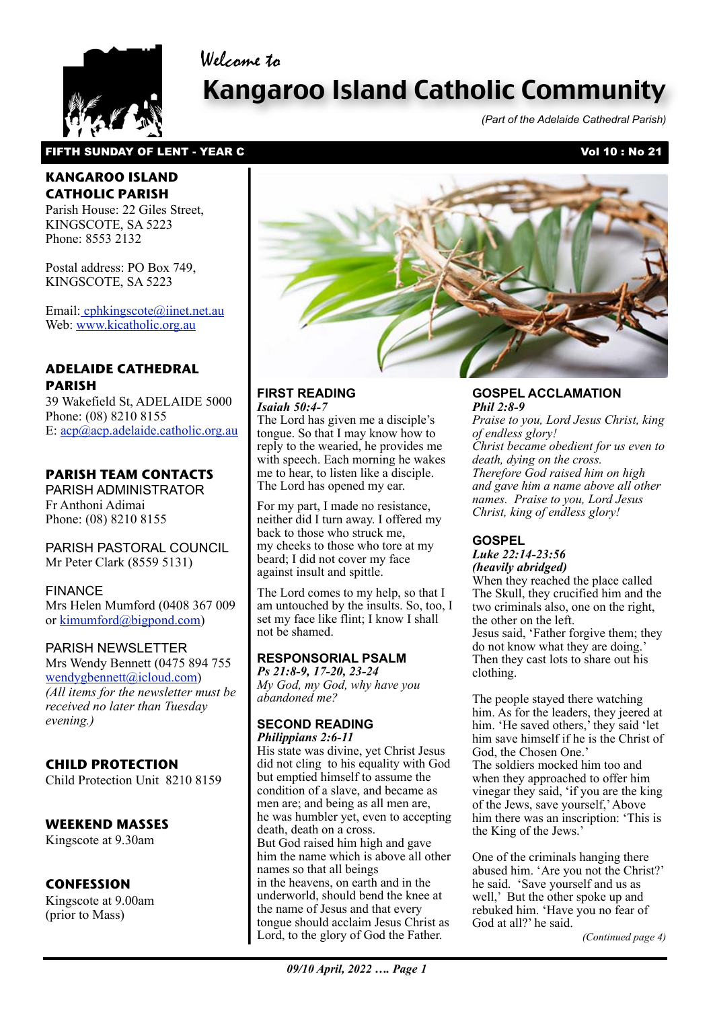

# Kangaroo Island Catholic Community

*(Part of the Adelaide Cathedral Parish)*

#### FIFTH SUNDAY OF LENT - YEAR C<br>
FIFTH SUNDAY OF LENT - YEAR C

Welcome to

# **KANGAROO ISLAND CATHOLIC PARISH**

Parish House: 22 Giles Street, KINGSCOTE, SA 5223 Phone: 8553 2132

Postal address: PO Box 749, KINGSCOTE, SA 5223

Email[: cphkingscote@iinet.net.au](mailto:cphkingscote@iinet.net.au) Web: [www.kicatholic.org.au](http://www.kicatholic.org.au)

# **ADELAIDE CATHEDRAL PARISH**

39 Wakefield St, ADELAIDE 5000 Phone: (08) 8210 8155 E: [acp@acp.adelaide.catholic.org.au](mailto:?subject=)

# **PARISH TEAM CONTACTS**

PARISH ADMINISTRATOR Fr Anthoni Adimai Phone: (08) 8210 8155

PARISH PASTORAL COUNCIL Mr Peter Clark (8559 5131)

#### FINANCE

Mrs Helen Mumford (0408 367 009 or [kimumford@bigpond.com\)](mailto:kimumford@bigpond.com)

#### PARISH NEWSLETTER

Mrs Wendy Bennett (0475 894 755 [wendygbennett@icloud.com\)](mailto:wendygbennett@icloud.com) *(All items for the newsletter must be received no later than Tuesday evening.)*

# **CHILD PROTECTION**

Child Protection Unit 8210 8159

#### **WEEKEND MASSES**

Kingscote at 9.30am

#### **CONFESSION**

Kingscote at 9.00am (prior to Mass)



#### **FIRST READING** *Isaiah 50:4-7*

The Lord has given me a disciple's tongue. So that I may know how to reply to the wearied, he provides me with speech. Each morning he wakes me to hear, to listen like a disciple. The Lord has opened my ear.

For my part, I made no resistance, neither did I turn away. I offered my back to those who struck me, my cheeks to those who tore at my beard; I did not cover my face against insult and spittle.

The Lord comes to my help, so that I am untouched by the insults. So, too, I set my face like flint; I know I shall not be shamed.

# **RESPONSORIAL PSALM**

*Ps 21:8-9, 17-20, 23-24 My God, my God, why have you abandoned me?*

#### **SECOND READING** *Philippians 2:6-11*

Lord, to the glory of God the Father. His state was divine, yet Christ Jesus did not cling to his equality with God but emptied himself to assume the condition of a slave, and became as men are; and being as all men are, he was humbler yet, even to accepting death, death on a cross. But God raised him high and gave him the name which is above all other names so that all beings in the heavens, on earth and in the underworld, should bend the knee at the name of Jesus and that every tongue should acclaim Jesus Christ as

#### **GOSPEL ACCLAMATION** *Phil 2:8-9*

*Praise to you, Lord Jesus Christ, king of endless glory! Christ became obedient for us even to death, dying on the cross. Therefore God raised him on high and gave him a name above all other names. Praise to you, Lord Jesus Christ, king of endless glory!*

# **GOSPEL**

*Luke 22:14-23:56 (heavily abridged)*

When they reached the place called The Skull, they crucified him and the two criminals also, one on the right, the other on the left. Jesus said, 'Father forgive them; they do not know what they are doing.' Then they cast lots to share out his clothing.

The people stayed there watching him. As for the leaders, they jeered at him. 'He saved others,' they said 'let him save himself if he is the Christ of God, the Chosen One.' The soldiers mocked him too and when they approached to offer him vinegar they said, 'if you are the king of the Jews, save yourself,' Above him there was an inscription: 'This is the King of the Jews.'

One of the criminals hanging there abused him. 'Are you not the Christ?' he said. 'Save yourself and us as well,' But the other spoke up and rebuked him. 'Have you no fear of God at all?' he said.

*(Continued page 4)*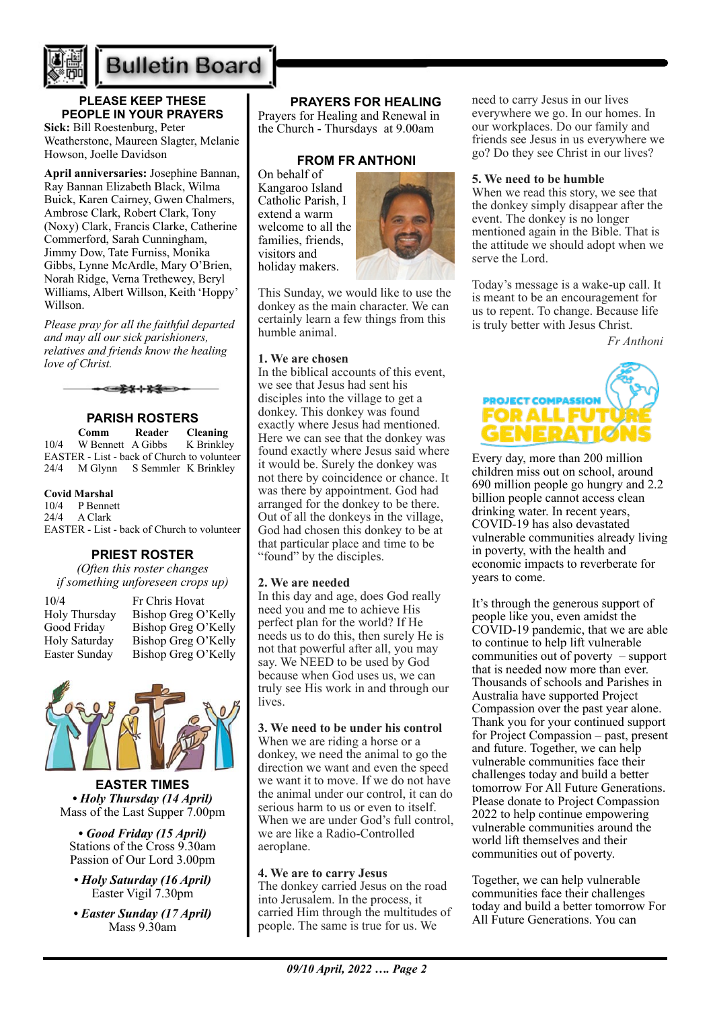

# **Bulletin Board**

# **PLEASE KEEP THESE PEOPLE IN YOUR PRAYERS**

**Sick:** Bill Roestenburg, Peter Weatherstone, Maureen Slagter, Melanie Howson, Joelle Davidson

**April anniversaries:** Josephine Bannan, Ray Bannan Elizabeth Black, Wilma Buick, Karen Cairney, Gwen Chalmers, Ambrose Clark, Robert Clark, Tony (Noxy) Clark, Francis Clarke, Catherine Commerford, Sarah Cunningham, Jimmy Dow, Tate Furniss, Monika Gibbs, Lynne McArdle, Mary O'Brien, Norah Ridge, Verna Trethewey, Beryl Williams, Albert Willson, Keith 'Hoppy' Willson.

*Please pray for all the faithful departed and may all our sick parishioners, relatives and friends know the healing love of Christ.*



# **PARISH ROSTERS**

**Comm Reader Cleaning**<br>10/4 W Bennett A Gibbs K Brinkley W Bennett A Gibbs EASTER - List - back of Church to volunteer 24/4 M Glynn S Semmler K Brinkley

#### **Covid Marshal**

10/4 P Bennett<br>24/4 A Clark A Clark EASTER - List - back of Church to volunteer

#### **PRIEST ROSTER**

*(Often this roster changes if something unforeseen crops up)*

10/4 Fr Chris Hovat Easter Sunday Bishop Greg O'Kelly

Holy Thursday Bishop Greg O'Kelly Good Friday Bishop Greg O'Kelly Holy Saturday Bishop Greg O'Kelly



**EASTER TIMES** *• Holy Thursday (14 April)* Mass of the Last Supper 7.00pm

*• Good Friday (15 April)* Stations of the Cross 9.30am Passion of Our Lord 3.00pm

- *Holy Saturday (16 April)* Easter Vigil 7.30pm
- *Easter Sunday (17 April)* Mass 9.30am

### **PRAYERS FOR HEALING**

Prayers for Healing and Renewal in the Church - Thursdays at 9.00am

#### **FROM FR ANTHONI**

On behalf of Kangaroo Island Catholic Parish, I extend a warm welcome to all the families, friends, visitors and holiday makers.



This Sunday, we would like to use the donkey as the main character. We can certainly learn a few things from this humble animal.

#### **1. We are chosen**

In the biblical accounts of this event, we see that Jesus had sent his disciples into the village to get a donkey. This donkey was found exactly where Jesus had mentioned. Here we can see that the donkey was found exactly where Jesus said where it would be. Surely the donkey was not there by coincidence or chance. It was there by appointment. God had arranged for the donkey to be there. Out of all the donkeys in the village, God had chosen this donkey to be at that particular place and time to be "found" by the disciples.

#### **2. We are needed**

In this day and age, does God really need you and me to achieve His perfect plan for the world? If He needs us to do this, then surely He is not that powerful after all, you may say. We NEED to be used by God because when God uses us, we can truly see His work in and through our lives.

#### **3. We need to be under his control**

When we are riding a horse or a donkey, we need the animal to go the direction we want and even the speed we want it to move. If we do not have the animal under our control, it can do serious harm to us or even to itself. When we are under God's full control. we are like a Radio-Controlled aeroplane.

#### **4. We are to carry Jesus**

The donkey carried Jesus on the road into Jerusalem. In the process, it carried Him through the multitudes of people. The same is true for us. We

need to carry Jesus in our lives everywhere we go. In our homes. In our workplaces. Do our family and friends see Jesus in us everywhere we go? Do they see Christ in our lives?

#### **5. We need to be humble**

When we read this story, we see that the donkey simply disappear after the event. The donkey is no longer mentioned again in the Bible. That is the attitude we should adopt when we serve the Lord.

Today's message is a wake-up call. It is meant to be an encouragement for us to repent. To change. Because life is truly better with Jesus Christ.

*Fr Anthoni*



Every day, more than 200 million children miss out on school, around 690 million people go hungry and 2.2 billion people cannot access clean drinking water. In recent years, COVID-19 has also devastated vulnerable communities already living in poverty, with the health and economic impacts to reverberate for years to come.

It's through the generous support of people like you, even amidst the COVID-19 pandemic, that we are able to continue to help lift vulnerable communities out of poverty – support that is needed now more than ever. Thousands of schools and Parishes in Australia have supported Project Compassion over the past year alone. Thank you for your continued support for Project Compassion – past, present and future. Together, we can help vulnerable communities face their challenges today and build a better tomorrow For All Future Generations. Please donate to Project Compassion 2022 to help continue empowering vulnerable communities around the world lift themselves and their communities out of poverty.

Together, we can help vulnerable communities face their challenges today and build a better tomorrow For All Future Generations. You can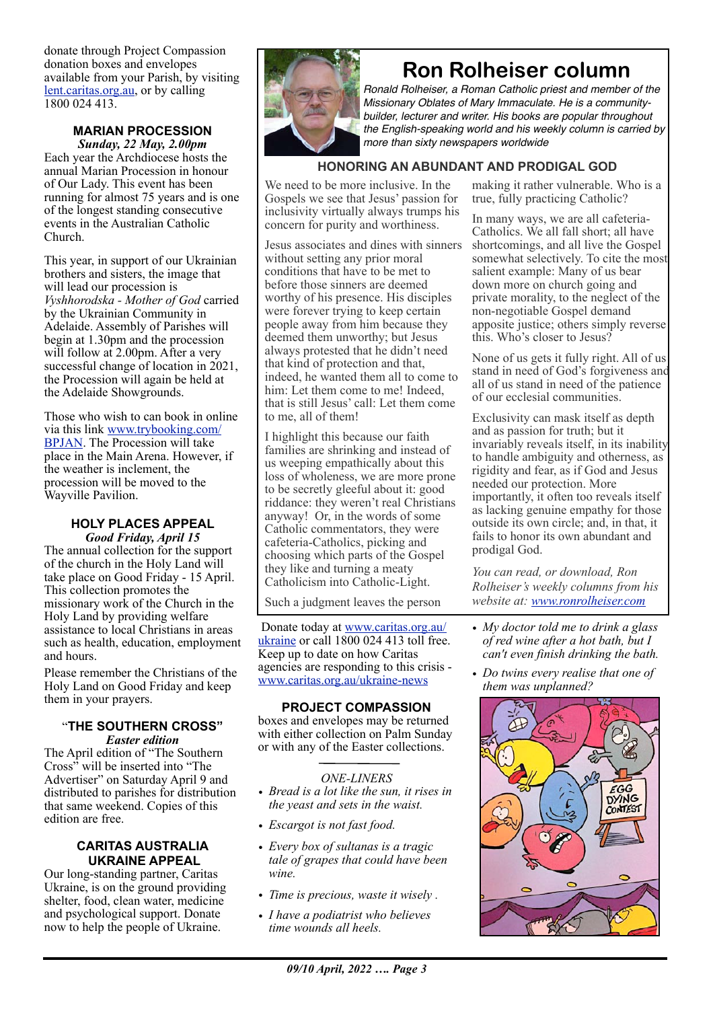donate through Project Compassion donation boxes and envelopes available from your Parish, by visiting [lent.caritas.org.au](http://www.caritas.org.au/projectcompassion), or by calling 1800 024 413.

#### **MARIAN PROCESSION** *Sunday, 22 May, 2.00pm*

Each year the Archdiocese hosts the annual Marian Procession in honour of Our Lady. This event has been running for almost 75 years and is one of the longest standing consecutive events in the Australian Catholic Church.

This year, in support of our Ukrainian brothers and sisters, the image that will lead our procession is *Vyshhorodska - Mother of God* carried by the Ukrainian Community in Adelaide. Assembly of Parishes will begin at 1.30pm and the procession will follow at 2.00pm. After a very successful change of location in 2021, the Procession will again be held at the Adelaide Showgrounds.

Those who wish to can book in online via this link [www.trybooking.com/](http://www.trybooking.com/BPJAN) [BPJAN](http://www.trybooking.com/BPJAN). The Procession will take place in the Main Arena. However, if the weather is inclement, the procession will be moved to the Wayville Pavilion.

#### **HOLY PLACES APPEAL**  *Good Friday, April 15*

The annual collection for the support of the church in the Holy Land will take place on Good Friday - 15 April. This collection promotes the missionary work of the Church in the Holy Land by providing welfare assistance to local Christians in areas such as health, education, employment and hours.

Please remember the Christians of the Holy Land on Good Friday and keep them in your prayers.

#### "**THE SOUTHERN CROSS"** *Easter edition*

The April edition of "The Southern Cross" will be inserted into "The Advertiser" on Saturday April 9 and distributed to parishes for distribution that same weekend. Copies of this edition are free.

#### **CARITAS AUSTRALIA UKRAINE APPEAL**

Our long-standing partner, Caritas Ukraine, is on the ground providing shelter, food, clean water, medicine and psychological support. Donate now to help the people of Ukraine.

# **Ron Rolheiser column**

*Ronald Rolheiser, a Roman Catholic priest and member of the Missionary Oblates of Mary Immaculate. He is a communitybuilder, lecturer and writer. His books are popular throughout the English-speaking world and his weekly column is carried by more than sixty newspapers worldwide*

# **HONORING AN ABUNDANT AND PRODIGAL GOD**

We need to be more inclusive. In the Gospels we see that Jesus' passion for inclusivity virtually always trumps his concern for purity and worthiness.

Jesus associates and dines with sinners without setting any prior moral conditions that have to be met to before those sinners are deemed worthy of his presence. His disciples were forever trying to keep certain people away from him because they deemed them unworthy; but Jesus always protested that he didn't need that kind of protection and that, indeed, he wanted them all to come to him: Let them come to me! Indeed. that is still Jesus' call: Let them come to me, all of them!

I highlight this because our faith families are shrinking and instead of us weeping empathically about this loss of wholeness, we are more prone to be secretly gleeful about it: good riddance: they weren't real Christians anyway! Or, in the words of some Catholic commentators, they were cafeteria-Catholics, picking and choosing which parts of the Gospel they like and turning a meaty Catholicism into Catholic-Light.

Such a judgment leaves the person

 Donate today at [www.caritas.org.au/](https://aus01.safelinks.protection.outlook.com/?url=http%3A%2F%2Fwww.caritas.org.au%2Fukraine&data=04%7C01%7CCco-Reception%40adelaide.catholic.org.au%7Cfc58bf7f33d340f2ee9b08da07b447d1%7Cfe51d108d61d407cbcaaaab5af82a7ac%7C1%7C0%7C637830768121954887%7CUnknown%7CTWFpbGZsb3d8eyJWIjoiMC4wLjAwMDAiLCJQIjoiV2luMzIiLCJBTiI6Ik1haWwiLCJXVCI6Mn0%3D%7C3000&sdata=rOXCte9AEd2c89fp5zaw9%2FEi7PK87M7lemKGAncPi%2B8%3D&reserved=0) [ukraine](https://aus01.safelinks.protection.outlook.com/?url=http%3A%2F%2Fwww.caritas.org.au%2Fukraine&data=04%7C01%7CCco-Reception%40adelaide.catholic.org.au%7Cfc58bf7f33d340f2ee9b08da07b447d1%7Cfe51d108d61d407cbcaaaab5af82a7ac%7C1%7C0%7C637830768121954887%7CUnknown%7CTWFpbGZsb3d8eyJWIjoiMC4wLjAwMDAiLCJQIjoiV2luMzIiLCJBTiI6Ik1haWwiLCJXVCI6Mn0%3D%7C3000&sdata=rOXCte9AEd2c89fp5zaw9%2FEi7PK87M7lemKGAncPi%2B8%3D&reserved=0) or call 1800 024 413 toll free. Keep up to date on how Caritas agencies are responding to this crisis [www.caritas.org.au/ukraine-news](https://aus01.safelinks.protection.outlook.com/?url=http%3A%2F%2Fwww.caritas.org.au%2Fukraine-news&data=04%7C01%7CCco-Reception%40adelaide.catholic.org.au%7Cfc58bf7f33d340f2ee9b08da07b447d1%7Cfe51d108d61d407cbcaaaab5af82a7ac%7C1%7C0%7C637830768121954887%7CUnknown%7CTWFpbGZsb3d8eyJWIjoiMC4wLjAwMDAiLCJQIjoiV2luMzIiLCJBTiI6Ik1haWwiLCJXVCI6Mn0%3D%7C3000&sdata=GLRcp0dt1SgGoLPRBlSbLWB%2Fp8GMz2LoehdjvnSFQWg%3D&reserved=0)

#### **PROJECT COMPASSION**

boxes and envelopes may be returned with either collection on Palm Sunday or with any of the Easter collections.

#### *ONE-LINERS*

- *• Bread is a lot like the sun, it rises in the yeast and sets in the waist.*
- *• Escargot is not fast food.*
- *• Every box of sultanas is a tragic tale of grapes that could have been wine.*
- *• Time is precious, waste it wisely .*
- *• I have a podiatrist who believes time wounds all heels.*

making it rather vulnerable. Who is a true, fully practicing Catholic?

In many ways, we are all cafeteria-Catholics. We all fall short; all have shortcomings, and all live the Gospel somewhat selectively. To cite the most salient example: Many of us bear down more on church going and private morality, to the neglect of the non-negotiable Gospel demand apposite justice; others simply reverse this. Who's closer to Jesus?

None of us gets it fully right. All of us stand in need of God's forgiveness and all of us stand in need of the patience of our ecclesial communities.

Exclusivity can mask itself as depth and as passion for truth; but it invariably reveals itself, in its inability to handle ambiguity and otherness, as rigidity and fear, as if God and Jesus needed our protection. More importantly, it often too reveals itself as lacking genuine empathy for those outside its own circle; and, in that, it fails to honor its own abundant and prodigal God.

*You can read, or download, Ron Rolheiser's weekly columns from his website at: [www.ronrolheiser.com](http://www.ronrolheiser.com)*

- *• My doctor told me to drink a glass of red wine after a hot bath, but I can't even finish drinking the bath.*
- *• Do twins every realise that one of them was unplanned?*